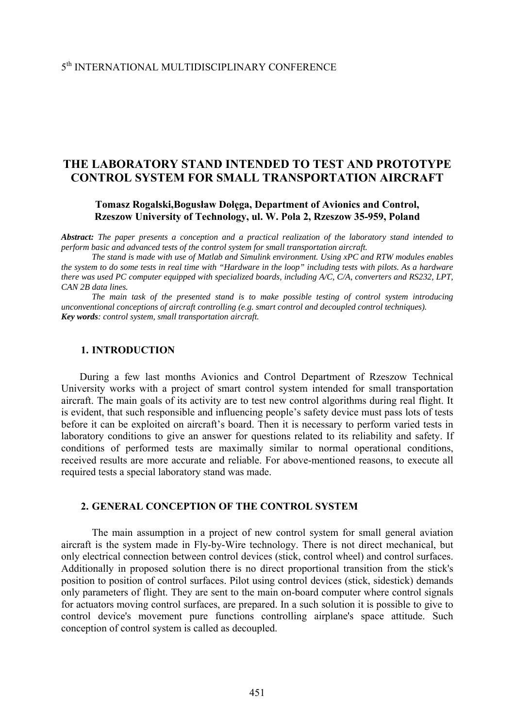# **THE LABORATORY STAND INTENDED TO TEST AND PROTOTYPE CONTROL SYSTEM FOR SMALL TRANSPORTATION AIRCRAFT**

**Tomasz Rogalski,Bogusław Dołęga, Department of Avionics and Control, Rzeszow University of Technology, ul. W. Pola 2, Rzeszow 35-959, Poland** 

*Abstract: The paper presents a conception and a practical realization of the laboratory stand intended to perform basic and advanced tests of the control system for small transportation aircraft.* 

 *The stand is made with use of Matlab and Simulink environment. Using xPC and RTW modules enables the system to do some tests in real time with "Hardware in the loop" including tests with pilots. As a hardware there was used PC computer equipped with specialized boards, including A/C, C/A, converters and RS232, LPT, CAN 2B data lines.* 

 *The main task of the presented stand is to make possible testing of control system introducing unconventional conceptions of aircraft controlling (e.g. smart control and decoupled control techniques). Key words: control system, small transportation aircraft.* 

#### **1. INTRODUCTION**

During a few last months Avionics and Control Department of Rzeszow Technical University works with a project of smart control system intended for small transportation aircraft. The main goals of its activity are to test new control algorithms during real flight. It is evident, that such responsible and influencing people's safety device must pass lots of tests before it can be exploited on aircraft's board. Then it is necessary to perform varied tests in laboratory conditions to give an answer for questions related to its reliability and safety. If conditions of performed tests are maximally similar to normal operational conditions, received results are more accurate and reliable. For above-mentioned reasons, to execute all required tests a special laboratory stand was made.

## **2. GENERAL CONCEPTION OF THE CONTROL SYSTEM**

The main assumption in a project of new control system for small general aviation aircraft is the system made in Fly-by-Wire technology. There is not direct mechanical, but only electrical connection between control devices (stick, control wheel) and control surfaces. Additionally in proposed solution there is no direct proportional transition from the stick's position to position of control surfaces. Pilot using control devices (stick, sidestick) demands only parameters of flight. They are sent to the main on-board computer where control signals for actuators moving control surfaces, are prepared. In a such solution it is possible to give to control device's movement pure functions controlling airplane's space attitude. Such conception of control system is called as decoupled.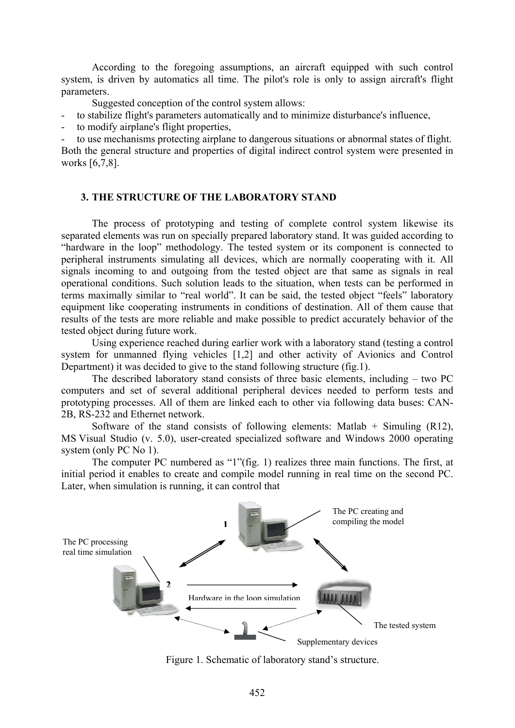According to the foregoing assumptions, an aircraft equipped with such control system, is driven by automatics all time. The pilot's role is only to assign aircraft's flight parameters.

Suggested conception of the control system allows:

- to stabilize flight's parameters automatically and to minimize disturbance's influence,
- to modify airplane's flight properties,

to use mechanisms protecting airplane to dangerous situations or abnormal states of flight. Both the general structure and properties of digital indirect control system were presented in works [6,7,8].

#### **3. THE STRUCTURE OF THE LABORATORY STAND**

The process of prototyping and testing of complete control system likewise its separated elements was run on specially prepared laboratory stand. It was guided according to "hardware in the loop" methodology. The tested system or its component is connected to peripheral instruments simulating all devices, which are normally cooperating with it. All signals incoming to and outgoing from the tested object are that same as signals in real operational conditions. Such solution leads to the situation, when tests can be performed in terms maximally similar to "real world". It can be said, the tested object "feels" laboratory equipment like cooperating instruments in conditions of destination. All of them cause that results of the tests are more reliable and make possible to predict accurately behavior of the tested object during future work.

Using experience reached during earlier work with a laboratory stand (testing a control system for unmanned flying vehicles [1,2] and other activity of Avionics and Control Department) it was decided to give to the stand following structure (fig.1).

The described laboratory stand consists of three basic elements, including – two PC computers and set of several additional peripheral devices needed to perform tests and prototyping processes. All of them are linked each to other via following data buses: CAN-2B, RS-232 and Ethernet network.

Software of the stand consists of following elements: Matlab  $+$  Simuling (R12), MS Visual Studio (v. 5.0), user-created specialized software and Windows 2000 operating system (only PC No 1).

The computer PC numbered as "1"(fig. 1) realizes three main functions. The first, at initial period it enables to create and compile model running in real time on the second PC. Later, when simulation is running, it can control that



Figure 1. Schematic of laboratory stand's structure.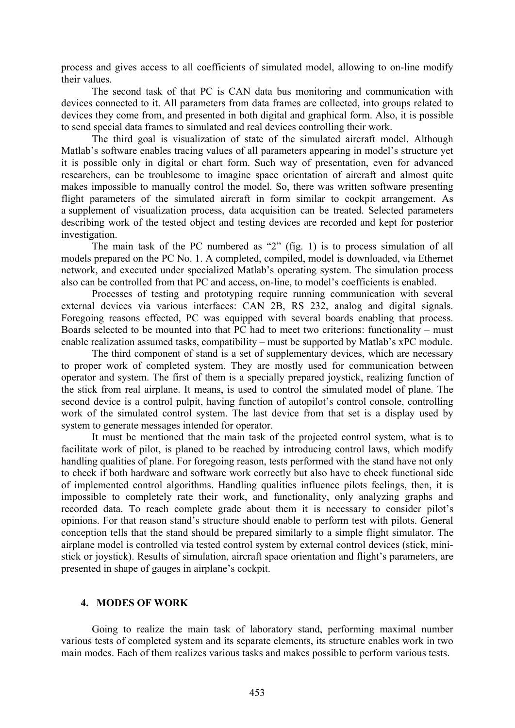process and gives access to all coefficients of simulated model, allowing to on-line modify their values.

The second task of that PC is CAN data bus monitoring and communication with devices connected to it. All parameters from data frames are collected, into groups related to devices they come from, and presented in both digital and graphical form. Also, it is possible to send special data frames to simulated and real devices controlling their work.

The third goal is visualization of state of the simulated aircraft model. Although Matlab's software enables tracing values of all parameters appearing in model's structure yet it is possible only in digital or chart form. Such way of presentation, even for advanced researchers, can be troublesome to imagine space orientation of aircraft and almost quite makes impossible to manually control the model. So, there was written software presenting flight parameters of the simulated aircraft in form similar to cockpit arrangement. As a supplement of visualization process, data acquisition can be treated. Selected parameters describing work of the tested object and testing devices are recorded and kept for posterior investigation.

The main task of the PC numbered as "2" (fig. 1) is to process simulation of all models prepared on the PC No. 1. A completed, compiled, model is downloaded, via Ethernet network, and executed under specialized Matlab's operating system. The simulation process also can be controlled from that PC and access, on-line, to model's coefficients is enabled.

Processes of testing and prototyping require running communication with several external devices via various interfaces: CAN 2B, RS 232, analog and digital signals. Foregoing reasons effected, PC was equipped with several boards enabling that process. Boards selected to be mounted into that PC had to meet two criterions: functionality – must enable realization assumed tasks, compatibility – must be supported by Matlab's xPC module.

The third component of stand is a set of supplementary devices, which are necessary to proper work of completed system. They are mostly used for communication between operator and system. The first of them is a specially prepared joystick, realizing function of the stick from real airplane. It means, is used to control the simulated model of plane. The second device is a control pulpit, having function of autopilot's control console, controlling work of the simulated control system. The last device from that set is a display used by system to generate messages intended for operator.

It must be mentioned that the main task of the projected control system, what is to facilitate work of pilot, is planed to be reached by introducing control laws, which modify handling qualities of plane. For foregoing reason, tests performed with the stand have not only to check if both hardware and software work correctly but also have to check functional side of implemented control algorithms. Handling qualities influence pilots feelings, then, it is impossible to completely rate their work, and functionality, only analyzing graphs and recorded data. To reach complete grade about them it is necessary to consider pilot's opinions. For that reason stand's structure should enable to perform test with pilots. General conception tells that the stand should be prepared similarly to a simple flight simulator. The airplane model is controlled via tested control system by external control devices (stick, ministick or joystick). Results of simulation, aircraft space orientation and flight's parameters, are presented in shape of gauges in airplane's cockpit.

#### **4. MODES OF WORK**

Going to realize the main task of laboratory stand, performing maximal number various tests of completed system and its separate elements, its structure enables work in two main modes. Each of them realizes various tasks and makes possible to perform various tests.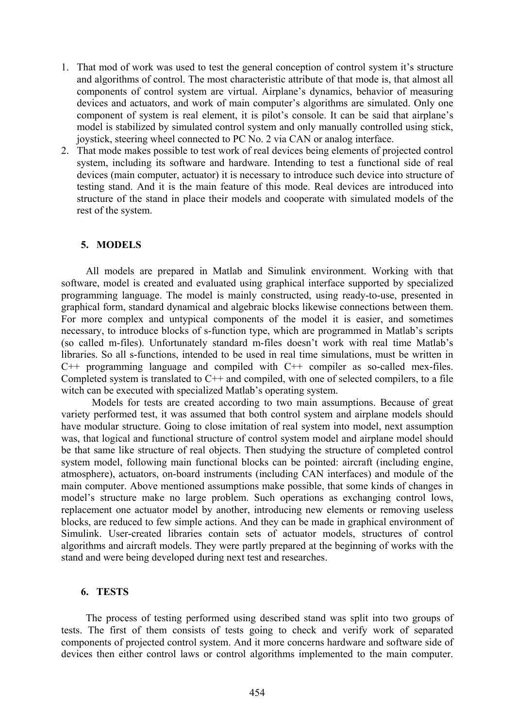- 1. That mod of work was used to test the general conception of control system it's structure and algorithms of control. The most characteristic attribute of that mode is, that almost all components of control system are virtual. Airplane's dynamics, behavior of measuring devices and actuators, and work of main computer's algorithms are simulated. Only one component of system is real element, it is pilot's console. It can be said that airplane's model is stabilized by simulated control system and only manually controlled using stick, joystick, steering wheel connected to PC No. 2 via CAN or analog interface.
- 2. That mode makes possible to test work of real devices being elements of projected control system, including its software and hardware. Intending to test a functional side of real devices (main computer, actuator) it is necessary to introduce such device into structure of testing stand. And it is the main feature of this mode. Real devices are introduced into structure of the stand in place their models and cooperate with simulated models of the rest of the system.

#### **5. MODELS**

All models are prepared in Matlab and Simulink environment. Working with that software, model is created and evaluated using graphical interface supported by specialized programming language. The model is mainly constructed, using ready-to-use, presented in graphical form, standard dynamical and algebraic blocks likewise connections between them. For more complex and untypical components of the model it is easier, and sometimes necessary, to introduce blocks of s-function type, which are programmed in Matlab's scripts (so called m-files). Unfortunately standard m-files doesn't work with real time Matlab's libraries. So all s-functions, intended to be used in real time simulations, must be written in C++ programming language and compiled with C++ compiler as so-called mex-files. Completed system is translated to  $C++$  and compiled, with one of selected compilers, to a file witch can be executed with specialized Matlab's operating system.

 Models for tests are created according to two main assumptions. Because of great variety performed test, it was assumed that both control system and airplane models should have modular structure. Going to close imitation of real system into model, next assumption was, that logical and functional structure of control system model and airplane model should be that same like structure of real objects. Then studying the structure of completed control system model, following main functional blocks can be pointed: aircraft (including engine, atmosphere), actuators, on-board instruments (including CAN interfaces) and module of the main computer. Above mentioned assumptions make possible, that some kinds of changes in model's structure make no large problem. Such operations as exchanging control lows, replacement one actuator model by another, introducing new elements or removing useless blocks, are reduced to few simple actions. And they can be made in graphical environment of Simulink. User-created libraries contain sets of actuator models, structures of control algorithms and aircraft models. They were partly prepared at the beginning of works with the stand and were being developed during next test and researches.

#### **6. TESTS**

The process of testing performed using described stand was split into two groups of tests. The first of them consists of tests going to check and verify work of separated components of projected control system. And it more concerns hardware and software side of devices then either control laws or control algorithms implemented to the main computer.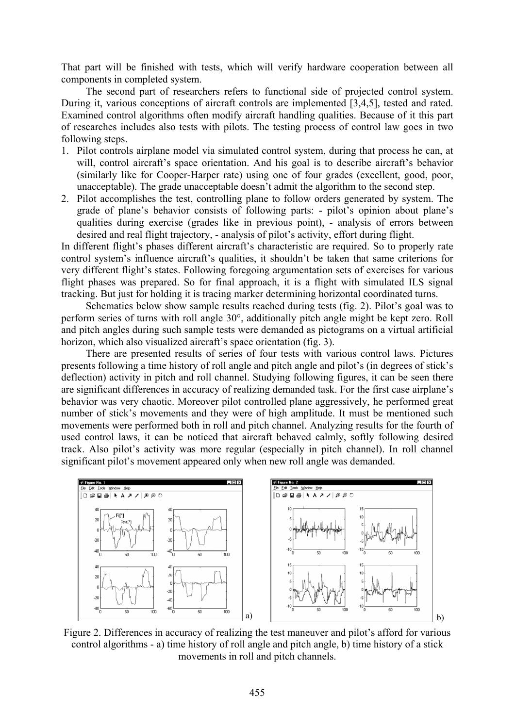That part will be finished with tests, which will verify hardware cooperation between all components in completed system.

The second part of researchers refers to functional side of projected control system. During it, various conceptions of aircraft controls are implemented [3,4,5], tested and rated. Examined control algorithms often modify aircraft handling qualities. Because of it this part of researches includes also tests with pilots. The testing process of control law goes in two following steps.

- 1. Pilot controls airplane model via simulated control system, during that process he can, at will, control aircraft's space orientation. And his goal is to describe aircraft's behavior (similarly like for Cooper-Harper rate) using one of four grades (excellent, good, poor, unacceptable). The grade unacceptable doesn't admit the algorithm to the second step.
- 2. Pilot accomplishes the test, controlling plane to follow orders generated by system. The grade of plane's behavior consists of following parts: - pilot's opinion about plane's qualities during exercise (grades like in previous point), - analysis of errors between desired and real flight trajectory, - analysis of pilot's activity, effort during flight.

In different flight's phases different aircraft's characteristic are required. So to properly rate control system's influence aircraft's qualities, it shouldn't be taken that same criterions for very different flight's states. Following foregoing argumentation sets of exercises for various flight phases was prepared. So for final approach, it is a flight with simulated ILS signal tracking. But just for holding it is tracing marker determining horizontal coordinated turns.

Schematics below show sample results reached during tests (fig. 2). Pilot's goal was to perform series of turns with roll angle 30°, additionally pitch angle might be kept zero. Roll and pitch angles during such sample tests were demanded as pictograms on a virtual artificial horizon, which also visualized aircraft's space orientation (fig. 3).

There are presented results of series of four tests with various control laws. Pictures presents following a time history of roll angle and pitch angle and pilot's (in degrees of stick's deflection) activity in pitch and roll channel. Studying following figures, it can be seen there are significant differences in accuracy of realizing demanded task. For the first case airplane's behavior was very chaotic. Moreover pilot controlled plane aggressively, he performed great number of stick's movements and they were of high amplitude. It must be mentioned such movements were performed both in roll and pitch channel. Analyzing results for the fourth of used control laws, it can be noticed that aircraft behaved calmly, softly following desired track. Also pilot's activity was more regular (especially in pitch channel). In roll channel significant pilot's movement appeared only when new roll angle was demanded.



Figure 2. Differences in accuracy of realizing the test maneuver and pilot's afford for various control algorithms - a) time history of roll angle and pitch angle, b) time history of a stick movements in roll and pitch channels.